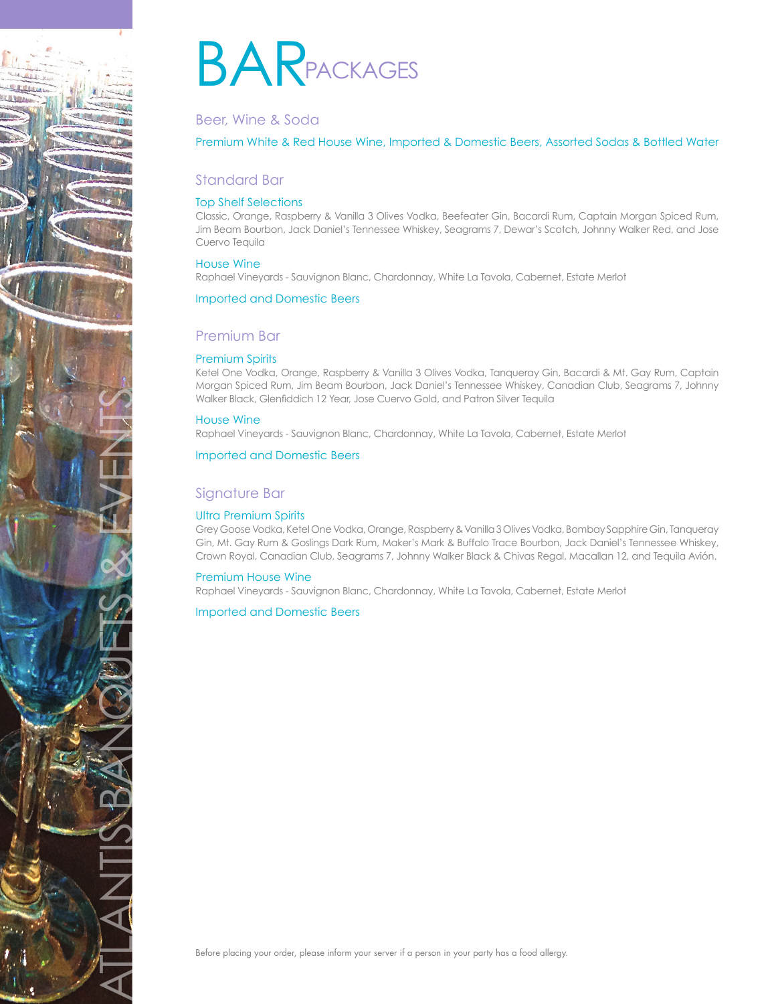

# **BARPACKAGES**

# Beer, Wine & Soda

# Premium White & Red House Wine, Imported & Domestic Beers, Assorted Sodas & Bottled Water

# Standard Bar

# Top Shelf Selections

Classic, Orange, Raspberry & Vanilla 3 Olives Vodka, Beefeater Gin, Bacardi Rum, Captain Morgan Spiced Rum, Jim Beam Bourbon, Jack Daniel's Tennessee Whiskey, Seagrams 7, Dewar's Scotch, Johnny Walker Red, and Jose Cuervo Tequila

## House Wine

Raphael Vineyards - Sauvignon Blanc, Chardonnay, White La Tavola, Cabernet, Estate Merlot

## Imported and Domestic Beers

# Premium Bar

# Premium Spirits

Ketel One Vodka, Orange, Raspberry & Vanilla 3 Olives Vodka, Tanqueray Gin, Bacardi & Mt. Gay Rum, Captain Morgan Spiced Rum, Jim Beam Bourbon, Jack Daniel's Tennessee Whiskey, Canadian Club, Seagrams 7, Johnny Walker Black, Glenfiddich 12 Year, Jose Cuervo Gold, and Patron Silver Tequila

## House Wine

Raphael Vineyards - Sauvignon Blanc, Chardonnay, White La Tavola, Cabernet, Estate Merlot

#### Imported and Domestic Beers

# Signature Bar

## Ultra Premium Spirits

Grey Goose Vodka, Ketel One Vodka, Orange, Raspberry & Vanilla 3 Olives Vodka, Bombay Sapphire Gin, Tanqueray Gin, Mt. Gay Rum & Goslings Dark Rum, Maker's Mark & Buffalo Trace Bourbon, Jack Daniel's Tennessee Whiskey, Crown Royal, Canadian Club, Seagrams 7, Johnny Walker Black & Chivas Regal, Macallan 12, and Tequila Avión.

#### Premium House Wine

Raphael Vineyards - Sauvignon Blanc, Chardonnay, White La Tavola, Cabernet, Estate Merlot

## Imported and Domestic Beers